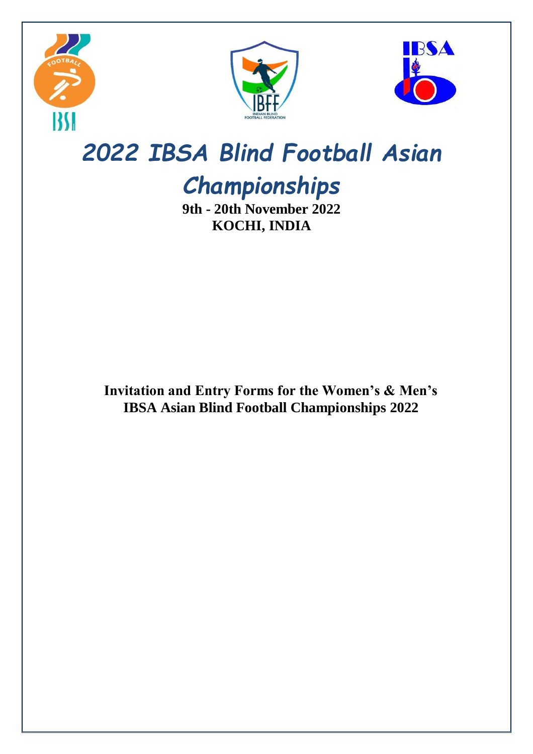





# *2022 IBSA Blind Football Asian*

# *Championships*

**9th - 20th November 2022 KOCHI, INDIA**

**Invitation and Entry Forms for the Women's & Men's IBSA Asian Blind Football Championships 2022**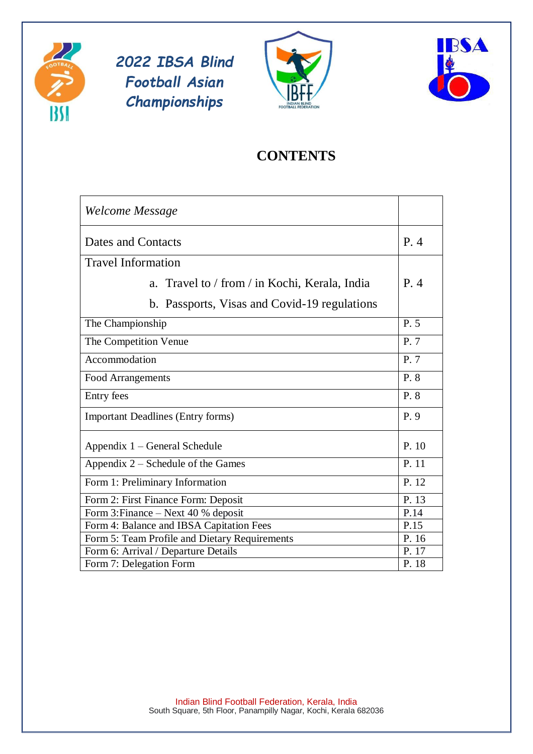





# **CONTENTS**

| Welcome Message                               |       |
|-----------------------------------------------|-------|
| Dates and Contacts                            | P.4   |
| <b>Travel Information</b>                     |       |
| a. Travel to / from / in Kochi, Kerala, India | P.4   |
| b. Passports, Visas and Covid-19 regulations  |       |
| The Championship                              | P. 5  |
| The Competition Venue                         | P.7   |
| Accommodation                                 | P.7   |
| <b>Food Arrangements</b>                      | P. 8  |
| Entry fees                                    | P. 8  |
| <b>Important Deadlines (Entry forms)</b>      | P. 9  |
| Appendix 1 – General Schedule                 | P. 10 |
| Appendix 2 – Schedule of the Games            | P. 11 |
| Form 1: Preliminary Information               | P. 12 |
| Form 2: First Finance Form: Deposit           | P. 13 |
| Form 3: Finance – Next 40 % deposit           | P.14  |
| Form 4: Balance and IBSA Capitation Fees      | P.15  |
| Form 5: Team Profile and Dietary Requirements | P. 16 |
| Form 6: Arrival / Departure Details           | P. 17 |
| Form 7: Delegation Form                       | P. 18 |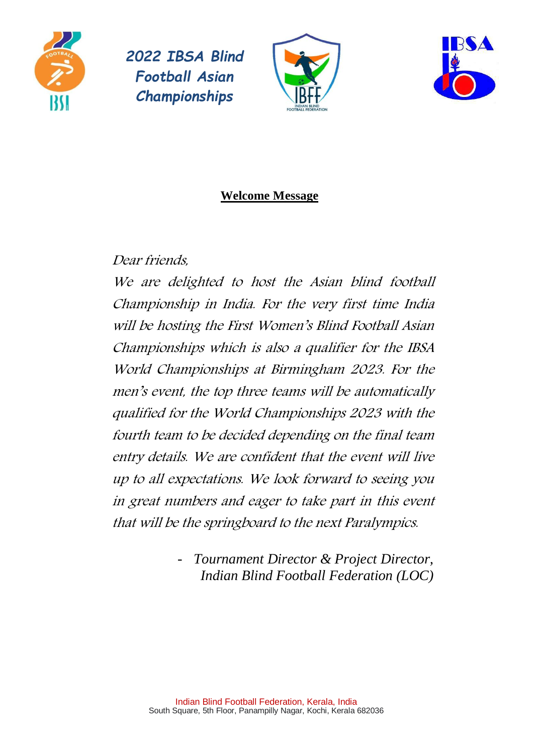





# **Welcome Message**

# Dear friends,

We are delighted to host the Asian blind football Championship in India. For the very first time India will be hosting the First Women's Blind Football Asian Championships which is also a qualifier for the IBSA World Championships at Birmingham 2023. For the men's event, the top three teams will be automatically qualified for the World Championships 2023 with the fourth team to be decided depending on the final team entry details. We are confident that the event will live up to all expectations. We look forward to seeing you in great numbers and eager to take part in this event that will be the springboard to the next Paralympics.

> - *Tournament Director & Project Director, Indian Blind Football Federation (LOC)*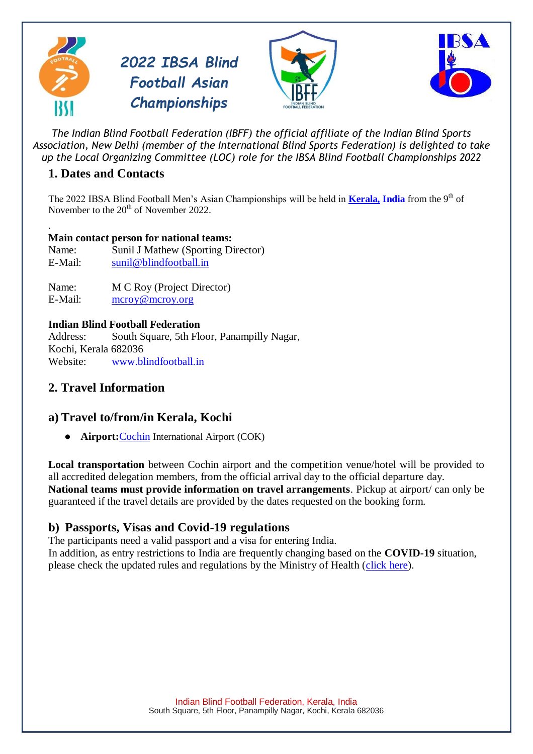







*The Indian Blind Football Federation (IBFF) the official affiliate of the Indian Blind Sports Association, New Delhi (member of the International Blind Sports Federation) is delighted to take up the Local Organizing Committee (LOC) role for the IBSA Blind Football Championships 2022*

## **1. Dates and Contacts**

The 2022 IBSA Blind Football Men's Asian Championships will be held in **[Kerala,](https://en.wikipedia.org/wiki/Pescara) India** from the 9th of November to the  $20^{th}$  of November 2022.

#### . **Main contact person for national teams:**

Name: Sunil J Mathew (Sporting Director) E-Mail: [sunil@blindfootball.in](mailto:sunil@blindfootball.in)

Name: M C Roy (Project Director) E-Mail: [mcroy@mcroy.org](mailto:mcroy@mcroy.org)

#### **Indian Blind Football Federation**

Address: South Square, 5th Floor, Panampilly Nagar, Kochi, Kerala 682036 Website: [www.blindfootball.in](http://www.blindfootball.in/)

## **2. Travel Information**

### **a) Travel to/from/in Kerala, Kochi**

● **Airport:**[Cochin](https://cial.aero/) International Airport (COK)

**Local transportation** between Cochin airport and the competition venue/hotel will be provided to all accredited delegation members, from the official arrival day to the official departure day. **National teams must provide information on travel arrangements**. Pickup at airport/ can only be guaranteed if the travel details are provided by the dates requested on the booking form.

### **b) Passports, Visas and Covid-19 regulations**

The participants need a valid passport and a visa for entering India. In addition, as entry restrictions to India are frequently changing based on the **COVID-19** situation,

please check the updated rules and regulations by the Ministry of Health [\(click here\)](https://www.mohfw.gov.in/).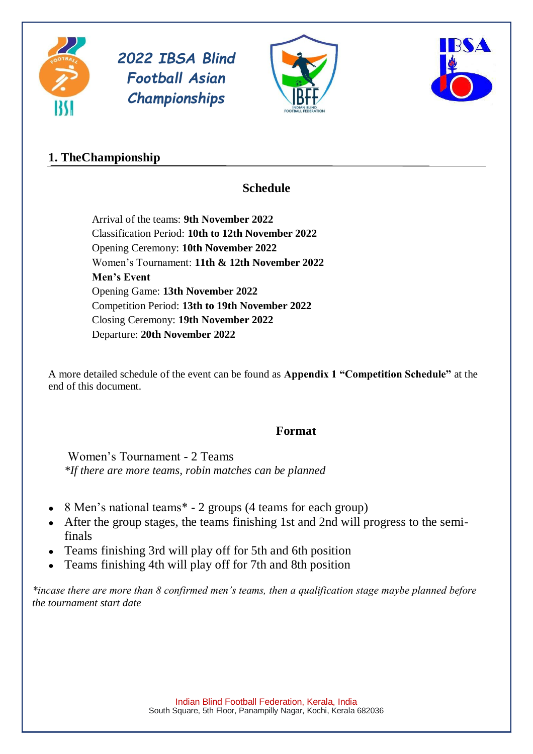





## **1. TheChampionship**

## **Schedule**

Arrival of the teams: **9th November 2022** Classification Period: **10th to 12th November 2022** Opening Ceremony: **10th November 2022** Women's Tournament: **11th & 12th November 2022 Men's Event**  Opening Game: **13th November 2022** Competition Period: **13th to 19th November 2022** Closing Ceremony: **19th November 2022** Departure: **20th November 2022**

A more detailed schedule of the event can be found as **Appendix 1 "Competition Schedule"** at the end of this document.

#### **Format**

Women's Tournament - 2 Teams *\*If there are more teams, robin matches can be planned*

- $\bullet$  8 Men's national teams\* 2 groups (4 teams for each group)
- After the group stages, the teams finishing 1st and 2nd will progress to the semifinals
- Teams finishing 3rd will play off for 5th and 6th position
- Teams finishing 4th will play off for 7th and 8th position

*\*incase there are more than 8 confirmed men's teams, then a qualification stage maybe planned before the tournament start date*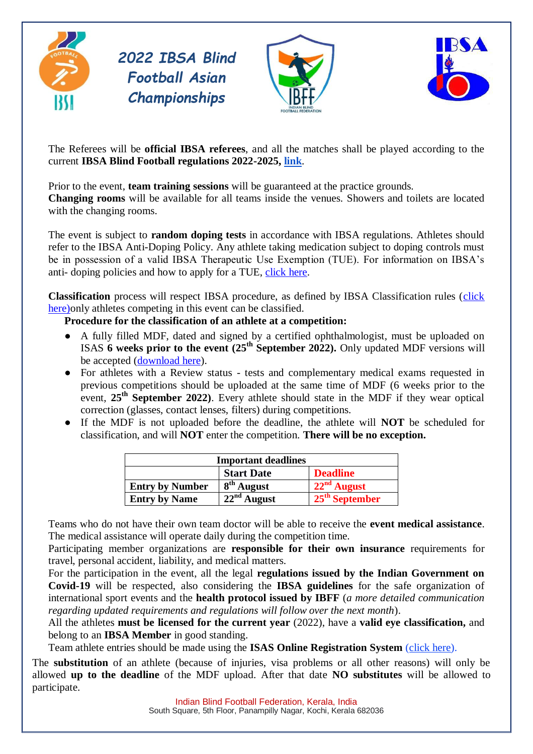





The Referees will be **official IBSA referees**, and all the matches shall be played according to the current **IBSA Blind Football regulations 2022-2025, [link](https://blindfootball.sport/wp-content/uploads/2022/02/IBSA-Blind-Football-Rulebook-2022-2025-1.pdf)**.

Prior to the event, **team training sessions** will be guaranteed at the practice grounds.

**Changing rooms** will be available for all teams inside the venues. Showers and toilets are located with the changing rooms.

The event is subject to **random doping tests** in accordance with IBSA regulations. Athletes should refer to the IBSA Anti-Doping Policy. Any athlete taking medication subject to doping controls must be in possession of a valid IBSA Therapeutic Use Exemption (TUE). For information on IBSA's anti- doping policies and how to apply for a TUE, [click here.](http://www.ibsasport.org/anti-doping)

**Classification** process will respect IBSA procedure, as defined by IBSA Classification rules [\(click](https://ibsasport.org/fair-sport/classification/rules-forms-and-manuals/)  here) only athletes competing in this event can be classified.

#### **Procedure for the classification of an athlete at a competition:**

- A fully filled MDF, dated and signed by a certified ophthalmologist, must be uploaded on ISAS **6 weeks prior to the event (25th September 2022).** Only updated MDF versions will be accepted [\(download here\)](https://ibsasport.org/fair-sport/classification/rules-forms-and-manuals/).
- For athletes with a Review status tests and complementary medical exams requested in previous competitions should be uploaded at the same time of MDF (6 weeks prior to the event, **25th September 2022)**. Every athlete should state in the MDF if they wear optical correction (glasses, contact lenses, filters) during competitions.
- If the MDF is not uploaded before the deadline, the athlete will **NOT** be scheduled for classification, and will **NOT** enter the competition. **There will be no exception.**

| <b>Important deadlines</b> |                   |                  |  |  |
|----------------------------|-------------------|------------------|--|--|
|                            | <b>Start Date</b> | <b>Deadline</b>  |  |  |
| <b>Entry by Number</b>     | $8th$ August      | $22nd$ August    |  |  |
| <b>Entry by Name</b>       | $22nd$ August     | $25th$ September |  |  |

Teams who do not have their own team doctor will be able to receive the **event medical assistance**. The medical assistance will operate daily during the competition time.

Participating member organizations are **responsible for their own insurance** requirements for travel, personal accident, liability, and medical matters.

For the participation in the event, all the legal **regulations issued by the Indian Government on Covid-19** will be respected, also considering the **IBSA guidelines** for the safe organization of international sport events and the **health protocol issued by IBFF** (*a more detailed communication regarding updated requirements and regulations will follow over the next month*).

All the athletes **must be licensed for the current year** (2022), have a **valid eye classification,** and belong to an **IBSA Member** in good standing.

Team athlete entries should be made using the **ISAS Online Registration System** (*click here*).

The **substitution** of an athlete (because of injuries, visa problems or all other reasons) will only be allowed **up to the deadline** of the MDF upload. After that date **NO substitutes** will be allowed to participate.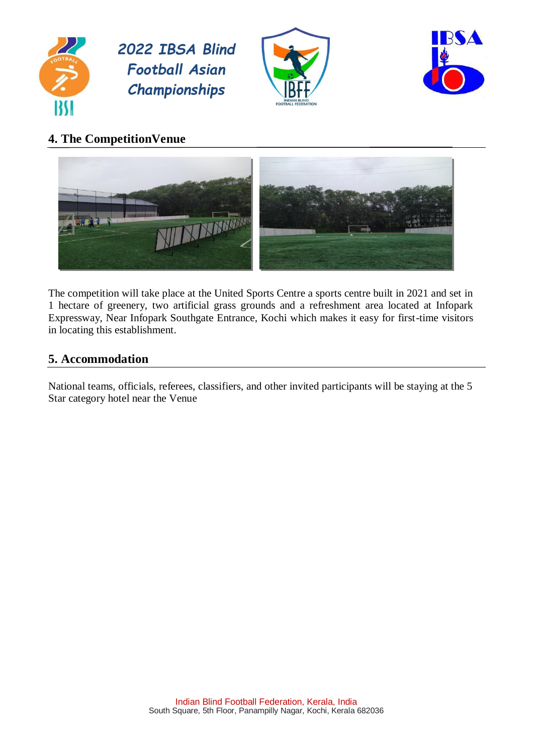





## **4. The CompetitionVenue**



The competition will take place at the United Sports Centre a sports centre built in 2021 and set in 1 hectare of greenery, two artificial grass grounds and a refreshment area located at Infopark Expressway, Near Infopark Southgate Entrance, Kochi which makes it easy for first-time visitors in locating this establishment.

## **5. Accommodation**

National teams, officials, referees, classifiers, and other invited participants will be staying at the 5 Star category hotel near the Venue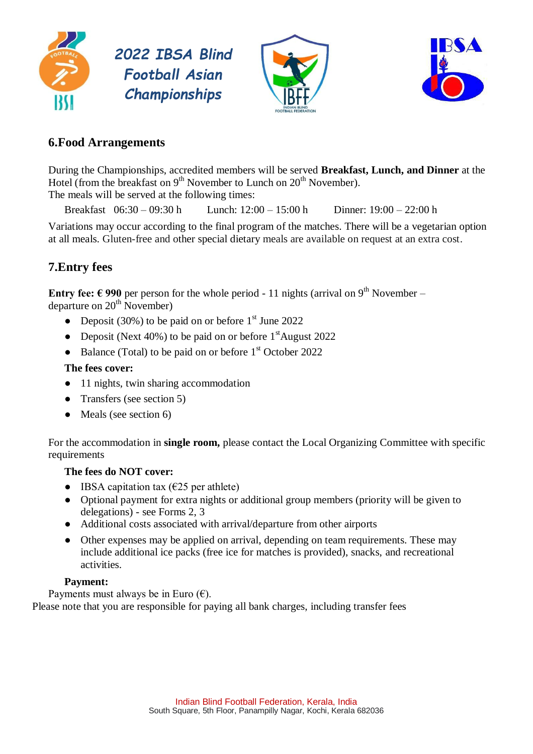





## **6.Food Arrangements**

During the Championships, accredited members will be served **Breakfast, Lunch, and Dinner** at the Hotel (from the breakfast on  $9<sup>th</sup>$  November to Lunch on  $20<sup>th</sup>$  November).

The meals will be served at the following times:

Breakfast 06:30 – 09:30 h Lunch: 12:00 – 15:00 h Dinner: 19:00 – 22:00 h

Variations may occur according to the final program of the matches. There will be a vegetarian option at all meals. Gluten-free and other special dietary meals are available on request at an extra cost.

## **7.Entry fees**

**Entry fee:**  $\epsilon$  990 per person for the whole period - 11 nights (arrival on 9<sup>th</sup> November – departure on  $20<sup>th</sup>$  November)

- Deposit (30%) to be paid on or before  $1<sup>st</sup>$  June 2022
- Deposit (Next 40%) to be paid on or before  $1<sup>st</sup>$ August 2022
- Balance (Total) to be paid on or before  $1<sup>st</sup>$  October 2022

#### **The fees cover:**

- 11 nights, twin sharing accommodation
- Transfers (see section 5)
- Meals (see section 6)

For the accommodation in **single room,** please contact the Local Organizing Committee with specific requirements

#### **The fees do NOT cover:**

- IBSA capitation tax  $(\epsilon 25$  per athlete)
- Optional payment for extra nights or additional group members (priority will be given to delegations) - see Forms 2, 3
- Additional costs associated with arrival/departure from other airports
- Other expenses may be applied on arrival, depending on team requirements. These may include additional ice packs (free ice for matches is provided), snacks, and recreational activities.

#### **Payment:**

Payments must always be in Euro  $(\epsilon)$ . Please note that you are responsible for paying all bank charges, including transfer fees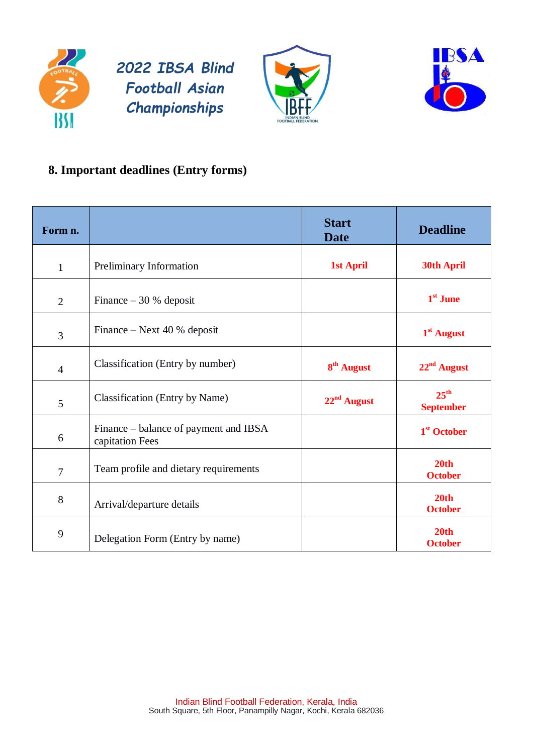





# **8. Important deadlines (Entry forms)**

| Form n.        |                                                          | <b>Start</b><br><b>Date</b> | <b>Deadline</b>                      |
|----------------|----------------------------------------------------------|-----------------------------|--------------------------------------|
| $\mathbf{1}$   | Preliminary Information                                  | <b>1st April</b>            | <b>30th April</b>                    |
| $\overline{2}$ | Finance $-30%$ deposit                                   |                             | $1st$ June                           |
| 3              | Finance – Next 40 % deposit                              |                             | $1st$ August                         |
| $\overline{4}$ | Classification (Entry by number)                         | 8 <sup>th</sup> August      | $22nd$ August                        |
| 5              | <b>Classification</b> (Entry by Name)                    | $22nd$ August               | $25^{\text{th}}$<br><b>September</b> |
| 6              | Finance – balance of payment and IBSA<br>capitation Fees |                             | 1 <sup>st</sup> October              |
| $\overline{7}$ | Team profile and dietary requirements                    |                             | 20th<br><b>October</b>               |
| 8              | Arrival/departure details                                |                             | 20 <sub>th</sub><br><b>October</b>   |
| 9              | Delegation Form (Entry by name)                          |                             | 20th<br><b>October</b>               |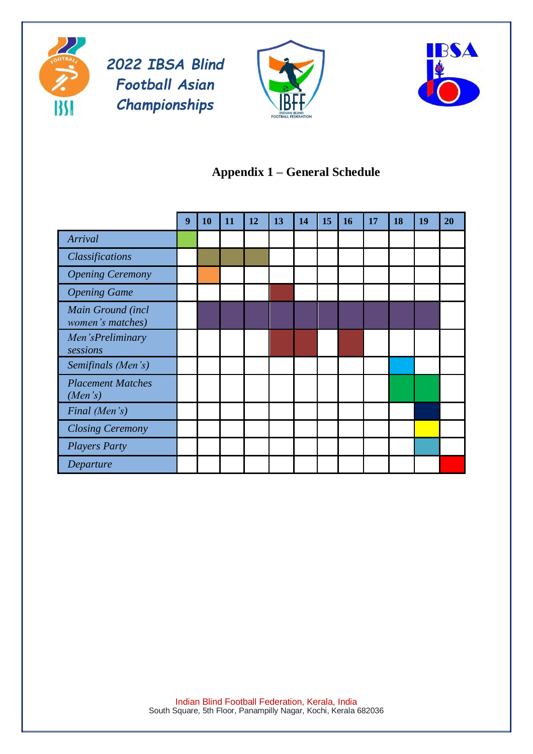





# **Appendix 1 – General Schedule**

|                                       | 9 | 10 | 11 | 12 | 13 | 14 | 15 | <b>16</b> | 17 | 18 | 19 | 20 |
|---------------------------------------|---|----|----|----|----|----|----|-----------|----|----|----|----|
| Arrival                               |   |    |    |    |    |    |    |           |    |    |    |    |
| Classifications                       |   |    |    |    |    |    |    |           |    |    |    |    |
| <b>Opening Ceremony</b>               |   |    |    |    |    |    |    |           |    |    |    |    |
| <b>Opening Game</b>                   |   |    |    |    |    |    |    |           |    |    |    |    |
| Main Ground (incl<br>women's matches) |   |    |    |    |    |    |    |           |    |    |    |    |
| Men'sPreliminary<br>sessions          |   |    |    |    |    |    |    |           |    |    |    |    |
| Semifinals (Men's)                    |   |    |    |    |    |    |    |           |    |    |    |    |
| <b>Placement Matches</b><br>(Men's)   |   |    |    |    |    |    |    |           |    |    |    |    |
| Final (Men's)                         |   |    |    |    |    |    |    |           |    |    |    |    |
| <b>Closing Ceremony</b>               |   |    |    |    |    |    |    |           |    |    |    |    |
| <b>Players Party</b>                  |   |    |    |    |    |    |    |           |    |    |    |    |
| Departure                             |   |    |    |    |    |    |    |           |    |    |    |    |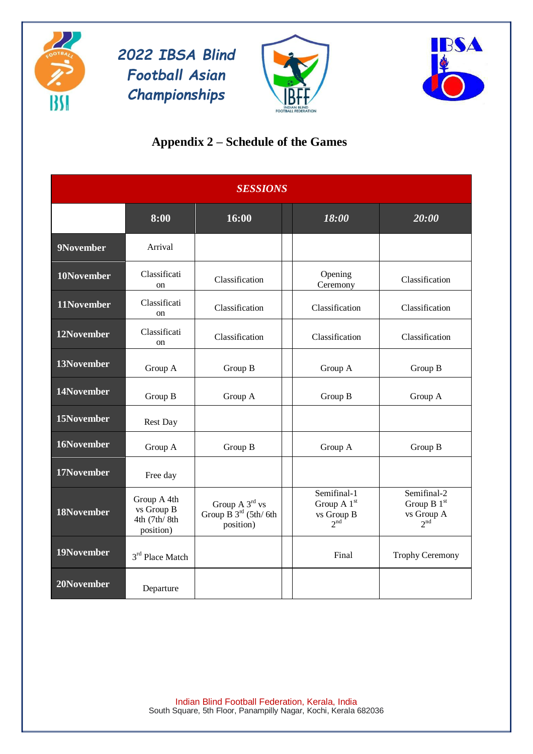





# **Appendix 2 – Schedule of the Games**

|            |                                                        | <b>SESSIONS</b>                                                                            |                                                                         |                                                               |
|------------|--------------------------------------------------------|--------------------------------------------------------------------------------------------|-------------------------------------------------------------------------|---------------------------------------------------------------|
|            | 8:00                                                   | 16:00                                                                                      | 18:00                                                                   | 20:00                                                         |
| 9November  | Arrival                                                |                                                                                            |                                                                         |                                                               |
| 10November | Classificati<br><sub>on</sub>                          | Classification                                                                             | Opening<br>Ceremony                                                     | Classification                                                |
| 11November | Classificati<br>on                                     | Classification                                                                             | Classification                                                          | Classification                                                |
| 12November | Classificati<br><sub>on</sub>                          | Classification                                                                             | Classification                                                          | Classification                                                |
| 13November | Group A                                                | Group B                                                                                    | Group A                                                                 | Group B                                                       |
| 14November | Group B                                                | Group A                                                                                    | Group B                                                                 | Group A                                                       |
| 15November | <b>Rest Day</b>                                        |                                                                                            |                                                                         |                                                               |
| 16November | Group A                                                | Group B                                                                                    | Group A                                                                 | Group B                                                       |
| 17November | Free day                                               |                                                                                            |                                                                         |                                                               |
| 18November | Group A 4th<br>vs Group B<br>4th (7th/8th<br>position) | Group $A$ 3 <sup>rd</sup> vs<br>Group $\overline{B}$ 3 <sup>rd</sup> (5th/6th<br>position) | Semifinal-1<br>Group A 1 <sup>st</sup><br>vs Group B<br>2 <sup>nd</sup> | Semifinal-2<br>Group B $1st$<br>vs Group A<br>2 <sup>nd</sup> |
| 19November | 3 <sup>rd</sup> Place Match                            |                                                                                            | Final                                                                   | <b>Trophy Ceremony</b>                                        |
| 20November | Departure                                              |                                                                                            |                                                                         |                                                               |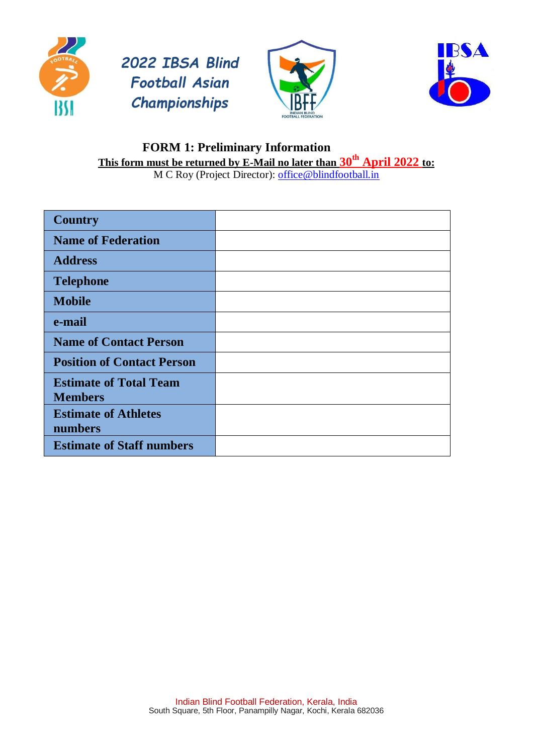







#### **FORM 1: Preliminary Information This form must be returned by E-Mail no later than 30th April 2022 to:** M C Roy (Project Director): **office@blindfootball.in**

| <b>Country</b>                                  |  |
|-------------------------------------------------|--|
| <b>Name of Federation</b>                       |  |
| <b>Address</b>                                  |  |
| <b>Telephone</b>                                |  |
| <b>Mobile</b>                                   |  |
| e-mail                                          |  |
| <b>Name of Contact Person</b>                   |  |
| <b>Position of Contact Person</b>               |  |
| <b>Estimate of Total Team</b><br><b>Members</b> |  |
|                                                 |  |
| <b>Estimate of Athletes</b><br>numbers          |  |
| <b>Estimate of Staff numbers</b>                |  |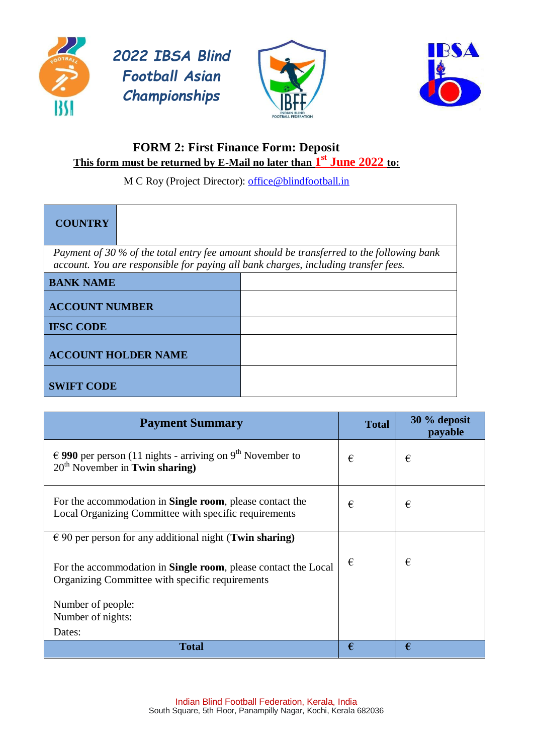





## **FORM 2: First Finance Form: Deposit This form must be returned by E-Mail no later than 1 st June 2022 to:**

M C Roy (Project Director): [office@blindfootball.in](mailto:office@blindfootball.in)

| <b>COUNTRY</b>                                                                     |                                                                                           |
|------------------------------------------------------------------------------------|-------------------------------------------------------------------------------------------|
| account. You are responsible for paying all bank charges, including transfer fees. | Payment of 30 % of the total entry fee amount should be transferred to the following bank |
| <b>BANK NAME</b>                                                                   |                                                                                           |
| <b>ACCOUNT NUMBER</b>                                                              |                                                                                           |
| <b>IFSC CODE</b>                                                                   |                                                                                           |
| <b>ACCOUNT HOLDER NAME</b>                                                         |                                                                                           |
| <b>SWIFT CODE</b>                                                                  |                                                                                           |

| <b>Payment Summary</b>                                                                                                    | <b>Total</b> | 30 % deposit<br>payable |
|---------------------------------------------------------------------------------------------------------------------------|--------------|-------------------------|
| € 990 per person (11 nights - arriving on $9th$ November to<br>$20th$ November in Twin sharing)                           | €            | €                       |
| For the accommodation in <b>Single room</b> , please contact the<br>Local Organizing Committee with specific requirements | €            | €                       |
| $\epsilon$ 90 per person for any additional night (Twin sharing)                                                          |              |                         |
| For the accommodation in <b>Single room</b> , please contact the Local<br>Organizing Committee with specific requirements | €            | €                       |
| Number of people:                                                                                                         |              |                         |
| Number of nights:                                                                                                         |              |                         |
| Dates:                                                                                                                    |              |                         |
| <b>Total</b>                                                                                                              | €            | €                       |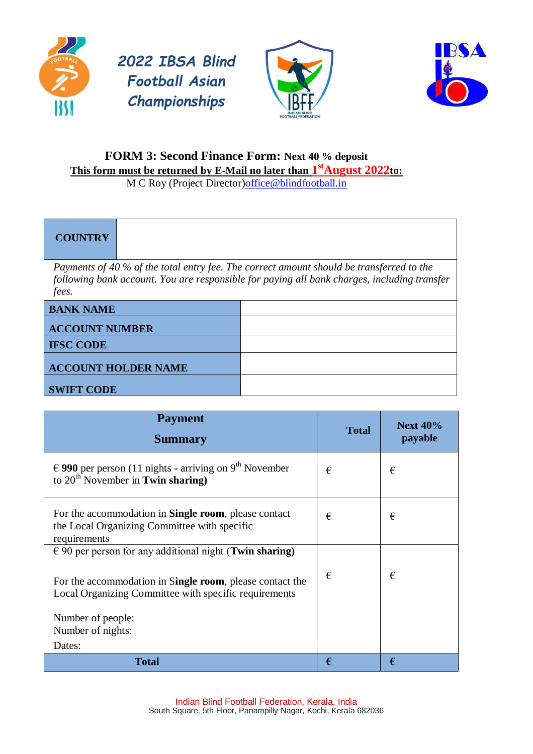







# **FORM 3: Second Finance Form: Next 40 % deposit This form must be returned by E-Mail no later than 1 stAugust 2022to:**

M C Roy (Project Director[\)office@blindfootball.in](mailto:office@blindfootball.in)

# **COUNTRY**

*Payments of 40 % of the total entry fee. The correct amount should be transferred to the following bank account. You are responsible for paying all bank charges, including transfer fees.*

| <b>BANK NAME</b>           |  |
|----------------------------|--|
| <b>ACCOUNT NUMBER</b>      |  |
| <b>IFSC CODE</b>           |  |
| <b>ACCOUNT HOLDER NAME</b> |  |
| <b>SWIFT CODE</b>          |  |

| <b>Payment</b><br><b>Summary</b>                                                                                                                                                      | <b>Total</b> | <b>Next 40%</b><br>payable |
|---------------------------------------------------------------------------------------------------------------------------------------------------------------------------------------|--------------|----------------------------|
| € 990 per person (11 nights - arriving on 9 <sup>th</sup> November<br>to $20^{th}$ November in <b>Twin sharing</b> )                                                                  | €            | €                          |
| For the accommodation in <b>Single room</b> , please contact<br>the Local Organizing Committee with specific<br>requirements                                                          | €            | €                          |
| $\epsilon$ 90 per person for any additional night (Twin sharing)<br>For the accommodation in Single room, please contact the<br>Local Organizing Committee with specific requirements | €            | €                          |
| Number of people:<br>Number of nights:<br>Dates:                                                                                                                                      |              |                            |
| <b>Total</b>                                                                                                                                                                          | €            | €                          |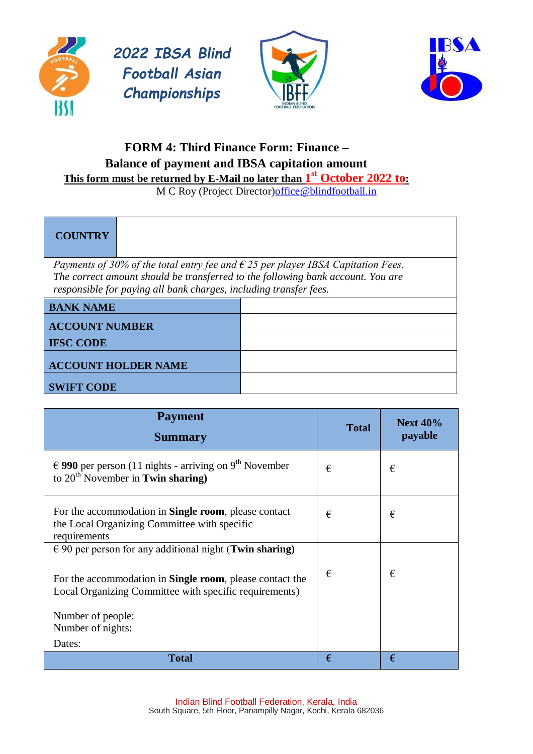





# **FORM 4: Third Finance Form: Finance – Balance of payment and IBSA capitation amount This form must be returned by E-Mail no later than 1 st October 2022 to:**

M C Roy (Project Director) office @blindfootball.in

# **COUNTRY** *Payments of 30% of the total entry fee and € 25 per player IBSA Capitation Fees. The correct amount should be transferred to the following bank account. You are responsible for paying all bank charges, including transfer fees.* **BANK NAME ACCOUNT NUMBER IFSC CODE ACCOUNT HOLDER NAME SWIFT CODE**

| <b>Payment</b><br><b>Summary</b>                                                                                                                                                               | <b>Total</b> | <b>Next 40%</b><br>payable |
|------------------------------------------------------------------------------------------------------------------------------------------------------------------------------------------------|--------------|----------------------------|
| € 990 per person (11 nights - arriving on 9 <sup>th</sup> November<br>to $20th$ November in Twin sharing)                                                                                      | €            | €                          |
| For the accommodation in <b>Single room</b> , please contact<br>the Local Organizing Committee with specific<br>requirements                                                                   | €            | €                          |
| $\epsilon$ 90 per person for any additional night (Twin sharing)<br>For the accommodation in <b>Single room</b> , please contact the<br>Local Organizing Committee with specific requirements) | €            | €                          |
| Number of people:<br>Number of nights:<br>Dates:                                                                                                                                               |              |                            |
| <b>Total</b>                                                                                                                                                                                   | €            | €                          |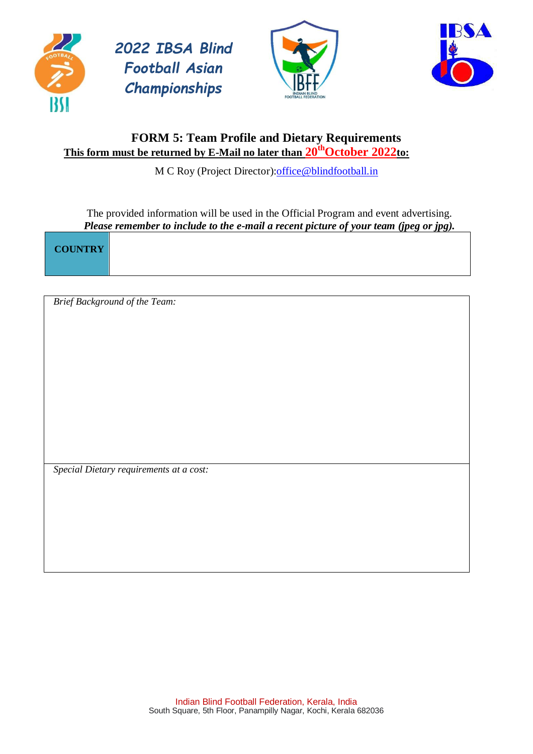





## **FORM 5: Team Profile and Dietary Requirements This form must be returned by E-Mail no later than 20thOctober 2022to:**

M C Roy (Project Director): office@blindfootball.in

The provided information will be used in the Official Program and event advertising. *Please remember to include to the e-mail a recent picture of your team (jpeg or jpg).*

**COUNTRY**

*Brief Background of the Team:*

*Special Dietary requirements at a cost:*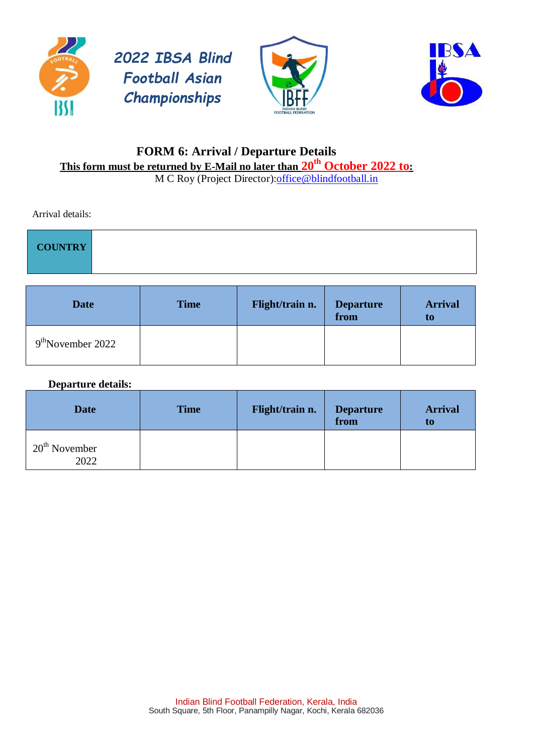





# **FORM 6: Arrival / Departure Details This form must be returned by E-Mail no later than 20th October 2022 to:**

M C Roy (Project Director): office@blindfootball.in

Arrival details:

| COUNTRY |
|---------|
|         |

| <b>Date</b>         | <b>Time</b> | Flight/train n. | <b>Departure</b><br>from | <b>Arrival</b><br>t0 |
|---------------------|-------------|-----------------|--------------------------|----------------------|
| $9th$ November 2022 |             |                 |                          |                      |

#### **Departure details:**

| <b>Date</b>             | <b>Time</b> | Flight/train n. | <b>Departure</b><br>from | <b>Arrival</b><br>t0 |
|-------------------------|-------------|-----------------|--------------------------|----------------------|
| $20th$ November<br>2022 |             |                 |                          |                      |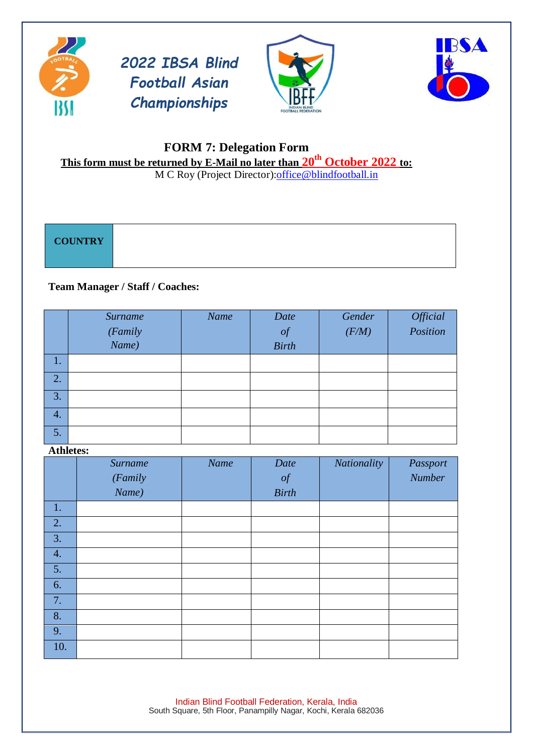





## **FORM 7: Delegation Form This form must be returned by E-Mail no later than 20th October 2022 to:**

M C Roy (Project Director): office@blindfootball.in

| <b>COUNTRY</b> |  |  |
|----------------|--|--|
|                |  |  |

#### **Team Manager / Staff / Coaches:**

|                  | Surname          | Name | Date         | Gender | Official<br>Position |
|------------------|------------------|------|--------------|--------|----------------------|
|                  | (Family<br>Name) |      | $\int$       | (F/M)  |                      |
|                  |                  |      | <b>Birth</b> |        |                      |
| 1.               |                  |      |              |        |                      |
| 2.               |                  |      |              |        |                      |
| 3.               |                  |      |              |        |                      |
| $\overline{4}$ . |                  |      |              |        |                      |
| 5.               |                  |      |              |        |                      |

#### **Athletes:**

|                  | <b>Surname</b><br>(Family<br>Name) | Name | Date<br>$\int$<br><b>Birth</b> | Nationality | Passport<br>Number |
|------------------|------------------------------------|------|--------------------------------|-------------|--------------------|
| 1.               |                                    |      |                                |             |                    |
| 2.               |                                    |      |                                |             |                    |
| $\overline{3}$ . |                                    |      |                                |             |                    |
| 4.               |                                    |      |                                |             |                    |
| 5.               |                                    |      |                                |             |                    |
| 6.               |                                    |      |                                |             |                    |
| 7.               |                                    |      |                                |             |                    |
| 8.               |                                    |      |                                |             |                    |
| 9.               |                                    |      |                                |             |                    |
| 10.              |                                    |      |                                |             |                    |

Indian Blind Football Federation, Kerala, India South Square, 5th Floor, Panampilly Nagar, Kochi, Kerala 682036